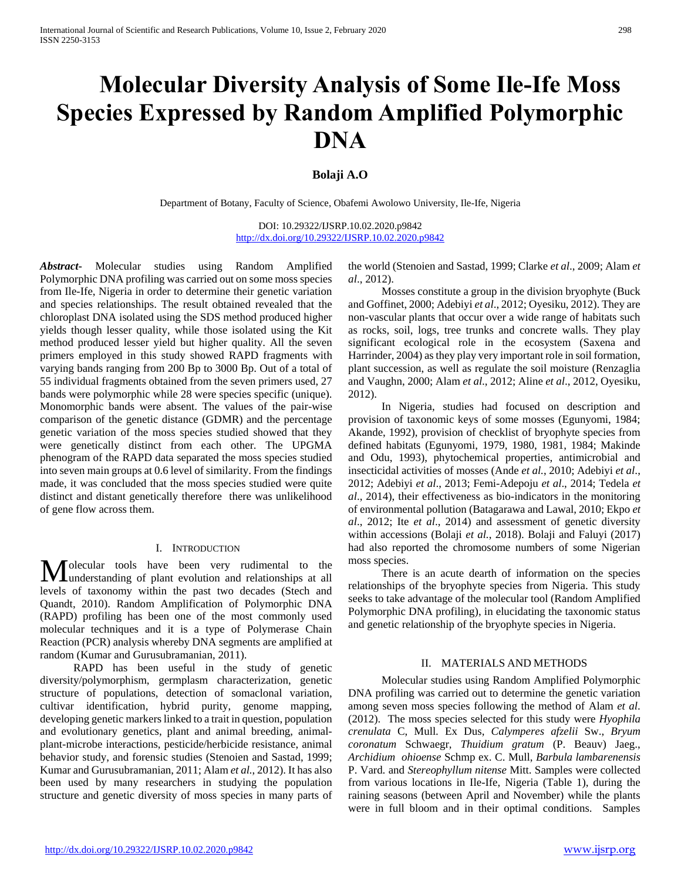# **Molecular Diversity Analysis of Some Ile-Ife Moss Species Expressed by Random Amplified Polymorphic DNA**

# **Bolaji A.O**

Department of Botany, Faculty of Science, Obafemi Awolowo University, Ile-Ife, Nigeria

DOI: 10.29322/IJSRP.10.02.2020.p9842 <http://dx.doi.org/10.29322/IJSRP.10.02.2020.p9842>

*Abstract***-** Molecular studies using Random Amplified Polymorphic DNA profiling was carried out on some moss species from Ile-Ife, Nigeria in order to determine their genetic variation and species relationships. The result obtained revealed that the chloroplast DNA isolated using the SDS method produced higher yields though lesser quality, while those isolated using the Kit method produced lesser yield but higher quality. All the seven primers employed in this study showed RAPD fragments with varying bands ranging from 200 Bp to 3000 Bp. Out of a total of 55 individual fragments obtained from the seven primers used, 27 bands were polymorphic while 28 were species specific (unique). Monomorphic bands were absent. The values of the pair-wise comparison of the genetic distance (GDMR) and the percentage genetic variation of the moss species studied showed that they were genetically distinct from each other. The UPGMA phenogram of the RAPD data separated the moss species studied into seven main groups at 0.6 level of similarity. From the findings made, it was concluded that the moss species studied were quite distinct and distant genetically therefore there was unlikelihood of gene flow across them.

# I. INTRODUCTION

olecular tools have been very rudimental to the **M** olecular tools have been very rudimental to the understanding of plant evolution and relationships at all levels of taxonomy within the past two decades (Stech and Quandt, 2010). Random Amplification of Polymorphic DNA (RAPD) profiling has been one of the most commonly used molecular techniques and it is a type of Polymerase Chain Reaction (PCR) analysis whereby DNA segments are amplified at random (Kumar and Gurusubramanian, 2011).

 RAPD has been useful in the study of genetic diversity/polymorphism, germplasm characterization, genetic structure of populations, detection of somaclonal variation, cultivar identification, hybrid purity, genome mapping, developing genetic markers linked to a trait in question, population and evolutionary genetics, plant and animal breeding, animalplant-microbe interactions, pesticide/herbicide resistance, animal behavior study, and forensic studies (Stenoien and Sastad, 1999; Kumar and Gurusubramanian, 2011; Alam *et al.*, 2012). It has also been used by many researchers in studying the population structure and genetic diversity of moss species in many parts of

the world (Stenoien and Sastad, 1999; Clarke *et al*., 2009; Alam *et al*., 2012).

 Mosses constitute a group in the division bryophyte (Buck and Goffinet, 2000; Adebiyi *et al*., 2012; Oyesiku, 2012). They are non-vascular plants that occur over a wide range of habitats such as rocks, soil, logs, tree trunks and concrete walls. They play significant ecological role in the ecosystem (Saxena and Harrinder, 2004) as they play very important role in soil formation, plant succession, as well as regulate the soil moisture (Renzaglia and Vaughn, 2000; Alam *et al*., 2012; Aline *et al*., 2012, Oyesiku, 2012).

 In Nigeria, studies had focused on description and provision of taxonomic keys of some mosses (Egunyomi, 1984; Akande, 1992), provision of checklist of bryophyte species from defined habitats (Egunyomi, 1979, 1980, 1981, 1984; Makinde and Odu, 1993), phytochemical properties, antimicrobial and insecticidal activities of mosses (Ande *et al.*, 2010; Adebiyi *et al*., 2012; Adebiyi *et al*., 2013; Femi-Adepoju *et al*., 2014; Tedela *et al*., 2014), their effectiveness as bio-indicators in the monitoring of environmental pollution (Batagarawa and Lawal, 2010; Ekpo *et al*., 2012; Ite *et al*., 2014) and assessment of genetic diversity within accessions (Bolaji *et al.*, 2018). Bolaji and Faluyi (2017) had also reported the chromosome numbers of some Nigerian moss species.

 There is an acute dearth of information on the species relationships of the bryophyte species from Nigeria. This study seeks to take advantage of the molecular tool (Random Amplified Polymorphic DNA profiling), in elucidating the taxonomic status and genetic relationship of the bryophyte species in Nigeria.

#### II. MATERIALS AND METHODS

 Molecular studies using Random Amplified Polymorphic DNA profiling was carried out to determine the genetic variation among seven moss species following the method of Alam *et al*. (2012). The moss species selected for this study were *Hyophila crenulata* C, Mull. Ex Dus, *Calymperes afzelii* Sw., *Bryum coronatum* Schwaegr, *Thuidium gratum* (P. Beauv) Jaeg., *Archidium ohioense* Schmp ex. C. Mull, *Barbula lambarenensis* P. Vard. and *Stereophyllum nitense* Mitt. Samples were collected from various locations in Ile-Ife, Nigeria (Table 1), during the raining seasons (between April and November) while the plants were in full bloom and in their optimal conditions. Samples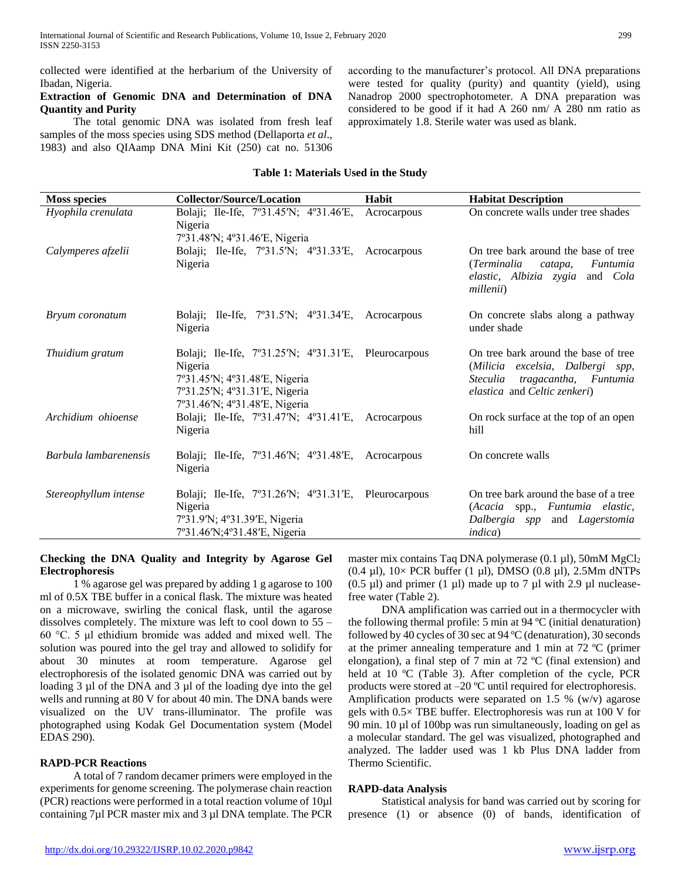collected were identified at the herbarium of the University of Ibadan, Nigeria.

## **Extraction of Genomic DNA and Determination of DNA Quantity and Purity**

 The total genomic DNA was isolated from fresh leaf samples of the moss species using SDS method (Dellaporta *et al*., 1983) and also QIAamp DNA Mini Kit (250) cat no. 51306 according to the manufacturer's protocol. All DNA preparations were tested for quality (purity) and quantity (yield), using Nanadrop 2000 spectrophotometer. A DNA preparation was considered to be good if it had A 260 nm/ A 280 nm ratio as approximately 1.8. Sterile water was used as blank.

# **Table 1: Materials Used in the Study**

| <b>Moss species</b>   | <b>Collector/Source/Location</b>                                                      | Habit       | <b>Habitat Description</b>                                            |
|-----------------------|---------------------------------------------------------------------------------------|-------------|-----------------------------------------------------------------------|
| Hyophila crenulata    | Bolaji; Ile-Ife, 7°31.45′N; 4°31.46′E,                                                | Acrocarpous | On concrete walls under tree shades                                   |
|                       | Nigeria                                                                               |             |                                                                       |
|                       | 7°31.48'N; 4°31.46'E, Nigeria                                                         |             |                                                                       |
| Calymperes afzelii    | Bolaji; Ile-Ife, 7°31.5′N; 4°31.33′E, Acrocarpous                                     |             | On tree bark around the base of tree                                  |
|                       | Nigeria                                                                               |             | (Terminalia<br>Funtumia<br>catapa,<br>elastic, Albizia zygia and Cola |
|                       |                                                                                       |             | millenii)                                                             |
|                       |                                                                                       |             |                                                                       |
| Bryum coronatum       | Bolaji; Ile-Ife, $7^{\circ}31.5^{\prime}N$ ; $4^{\circ}31.34^{\prime}E$ , Acrocarpous |             | On concrete slabs along a pathway                                     |
|                       | Nigeria                                                                               |             | under shade                                                           |
| Thuidium gratum       | Bolaji; Ile-Ife, $7^{\circ}31.25'N$ ; $4^{\circ}31.31'E$ , Pleurocarpous              |             | On tree bark around the base of tree                                  |
|                       | Nigeria                                                                               |             | (Milicia excelsia, Dalbergi spp,                                      |
|                       | 7°31.45′N; 4°31.48′E, Nigeria                                                         |             | <i>Steculia</i><br>tragacantha, Funtumia                              |
|                       | 7°31.25′N; 4°31.31′E, Nigeria                                                         |             | elastica and Celtic zenkeri)                                          |
|                       | 7°31.46'N; 4°31.48'E, Nigeria                                                         |             |                                                                       |
| Archidium ohioense    | Bolaji; Ile-Ife, 7°31.47'N; 4°31.41'E, Acrocarpous                                    |             | On rock surface at the top of an open                                 |
|                       | Nigeria                                                                               |             | hill                                                                  |
| Barbula lambarenensis | Bolaji; Ile-Ife, $7^{\circ}31.46'$ N; $4^{\circ}31.48'$ E, Acrocarpous                |             | On concrete walls                                                     |
|                       | Nigeria                                                                               |             |                                                                       |
|                       |                                                                                       |             |                                                                       |
| Stereophyllum intense | Bolaji; Ile-Ife, 7°31.26′N; 4°31.31′E, Pleurocarpous                                  |             | On tree bark around the base of a tree                                |
|                       | Nigeria                                                                               |             | (Acacia spp., Funtumia elastic,                                       |
|                       | 7°31.9'N; 4°31.39'E, Nigeria                                                          |             | Dalbergia spp<br>and <i>Lagerstomia</i>                               |
|                       | 7°31.46'N;4°31.48'E, Nigeria                                                          |             | <i>indica</i> )                                                       |

# **Checking the DNA Quality and Integrity by Agarose Gel Electrophoresis**

 1 % agarose gel was prepared by adding 1 g agarose to 100 ml of 0.5X TBE buffer in a conical flask. The mixture was heated on a microwave, swirling the conical flask, until the agarose dissolves completely. The mixture was left to cool down to 55 – 60 °C. 5 μl ethidium bromide was added and mixed well. The solution was poured into the gel tray and allowed to solidify for about 30 minutes at room temperature. Agarose gel electrophoresis of the isolated genomic DNA was carried out by loading 3 µl of the DNA and 3 µl of the loading dye into the gel wells and running at 80 V for about 40 min. The DNA bands were visualized on the UV trans-illuminator. The profile was photographed using Kodak Gel Documentation system (Model EDAS 290).

# **RAPD-PCR Reactions**

 A total of 7 random decamer primers were employed in the experiments for genome screening. The polymerase chain reaction (PCR) reactions were performed in a total reaction volume of 10µl containing 7µl PCR master mix and 3 µl DNA template. The PCR master mix contains Taq DNA polymerase (0.1  $\mu$ l), 50mM MgCl<sub>2</sub> (0.4  $\mu$ l), 10× PCR buffer (1  $\mu$ l), DMSO (0.8  $\mu$ l), 2.5Mm dNTPs  $(0.5 \text{ µ})$  and primer  $(1 \text{ µ})$  made up to 7  $\text{µ}$  with 2.9  $\text{µ}$  nucleasefree water (Table 2).

 DNA amplification was carried out in a thermocycler with the following thermal profile: 5 min at 94 ºC (initial denaturation) followed by 40 cycles of 30 sec at 94 ºC (denaturation), 30 seconds at the primer annealing temperature and 1 min at 72 ºC (primer elongation), a final step of 7 min at 72 ºC (final extension) and held at 10 °C (Table 3). After completion of the cycle, PCR products were stored at –20 ºC until required for electrophoresis. Amplification products were separated on 1.5 % (w/v) agarose gels with 0.5× TBE buffer. Electrophoresis was run at 100 V for 90 min. 10 µl of 100bp was run simultaneously, loading on gel as a molecular standard. The gel was visualized, photographed and analyzed. The ladder used was 1 kb Plus DNA ladder from Thermo Scientific.

#### **RAPD-data Analysis**

 Statistical analysis for band was carried out by scoring for presence (1) or absence (0) of bands, identification of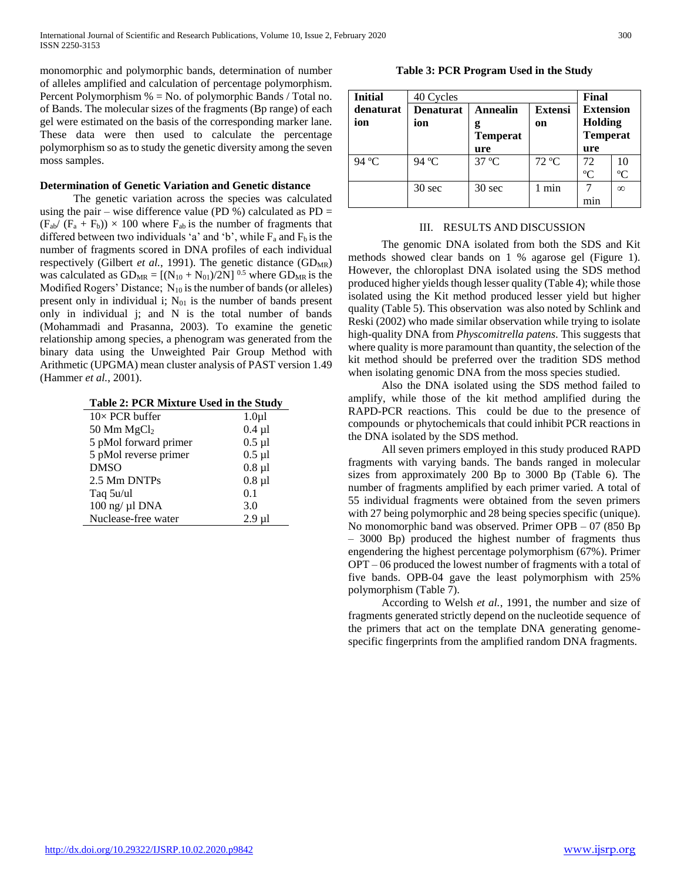monomorphic and polymorphic bands, determination of number of alleles amplified and calculation of percentage polymorphism. Percent Polymorphism  $% = No.$  of polymorphic Bands / Total no. of Bands. The molecular sizes of the fragments (Bp range) of each gel were estimated on the basis of the corresponding marker lane. These data were then used to calculate the percentage polymorphism so as to study the genetic diversity among the seven moss samples.

## **Determination of Genetic Variation and Genetic distance**

 The genetic variation across the species was calculated using the pair – wise difference value (PD %) calculated as  $PD =$  $(F_{ab}/(F_a + F_b)) \times 100$  where  $F_{ab}$  is the number of fragments that differed between two individuals 'a' and 'b', while  $F_a$  and  $F_b$  is the number of fragments scored in DNA profiles of each individual respectively (Gilbert et al., 1991). The genetic distance (GD<sub>MR</sub>) was calculated as  $GD_{MR} = [(N_{10} + N_{01})/2N]$ <sup>0.5</sup> where  $GD_{MR}$  is the Modified Rogers' Distance; N<sub>10</sub> is the number of bands (or alleles) present only in individual i;  $N_{01}$  is the number of bands present only in individual j; and N is the total number of bands (Mohammadi and Prasanna, 2003). To examine the genetic relationship among species, a phenogram was generated from the binary data using the Unweighted Pair Group Method with Arithmetic (UPGMA) mean cluster analysis of PAST version 1.49 (Hammer *et al.*, 2001).

| Table 2: PCR Mixture Used in the Study |  |  |  |
|----------------------------------------|--|--|--|
|----------------------------------------|--|--|--|

| $10\times$ PCR buffer | $1.0\mu$    |
|-----------------------|-------------|
| 50 Mm $MgCl2$         | $0.4 \mu l$ |
| 5 pMol forward primer | $0.5$ µl    |
| 5 pMol reverse primer | $0.5$ µl    |
| <b>DMSO</b>           | $0.8$ µ $1$ |
| 2.5 Mm DNTPs          | $0.8$ µ $1$ |
| Taq 5u/ul             | 0.1         |
| 100 ng/ µl DNA        | 3.0         |
| Nuclease-free water   | $2.9$ ul    |

# **Table 3: PCR Program Used in the Study**

| <b>Initial</b>   | 40 Cycles               | Final                                   |                      |                                                       |             |
|------------------|-------------------------|-----------------------------------------|----------------------|-------------------------------------------------------|-------------|
| denaturat<br>ion | <b>Denaturat</b><br>ion | <b>Annealin</b><br>g<br><b>Temperat</b> | <b>Extensi</b><br>on | <b>Extension</b><br><b>Holding</b><br><b>Temperat</b> |             |
|                  |                         | ure                                     |                      | ure                                                   |             |
| 94 °C            | 94 °C                   | $37^{\circ}$ C                          | 72 °C                | 72                                                    | 10          |
|                  |                         |                                         |                      | $\rm ^oC$                                             | $\rm ^{o}C$ |
|                  | $30 \text{ sec}$        | 30 sec                                  | min                  |                                                       | $\infty$    |
|                  |                         |                                         |                      | mın                                                   |             |

# III. RESULTS AND DISCUSSION

 The genomic DNA isolated from both the SDS and Kit methods showed clear bands on 1 % agarose gel (Figure 1). However, the chloroplast DNA isolated using the SDS method produced higher yields though lesser quality (Table 4); while those isolated using the Kit method produced lesser yield but higher quality (Table 5). This observation was also noted by Schlink and Reski (2002) who made similar observation while trying to isolate high-quality DNA from *Physcomitrella patens*. This suggests that where quality is more paramount than quantity, the selection of the kit method should be preferred over the tradition SDS method when isolating genomic DNA from the moss species studied.

 Also the DNA isolated using the SDS method failed to amplify, while those of the kit method amplified during the RAPD-PCR reactions. This could be due to the presence of compounds or phytochemicals that could inhibit PCR reactions in the DNA isolated by the SDS method.

 All seven primers employed in this study produced RAPD fragments with varying bands. The bands ranged in molecular sizes from approximately 200 Bp to 3000 Bp (Table 6). The number of fragments amplified by each primer varied. A total of 55 individual fragments were obtained from the seven primers with 27 being polymorphic and 28 being species specific (unique). No monomorphic band was observed. Primer OPB – 07 (850 Bp – 3000 Bp) produced the highest number of fragments thus engendering the highest percentage polymorphism (67%). Primer OPT – 06 produced the lowest number of fragments with a total of five bands. OPB-04 gave the least polymorphism with 25% polymorphism (Table 7).

 According to Welsh *et al.*, 1991, the number and size of fragments generated strictly depend on the nucleotide sequence of the primers that act on the template DNA generating genomespecific fingerprints from the amplified random DNA fragments.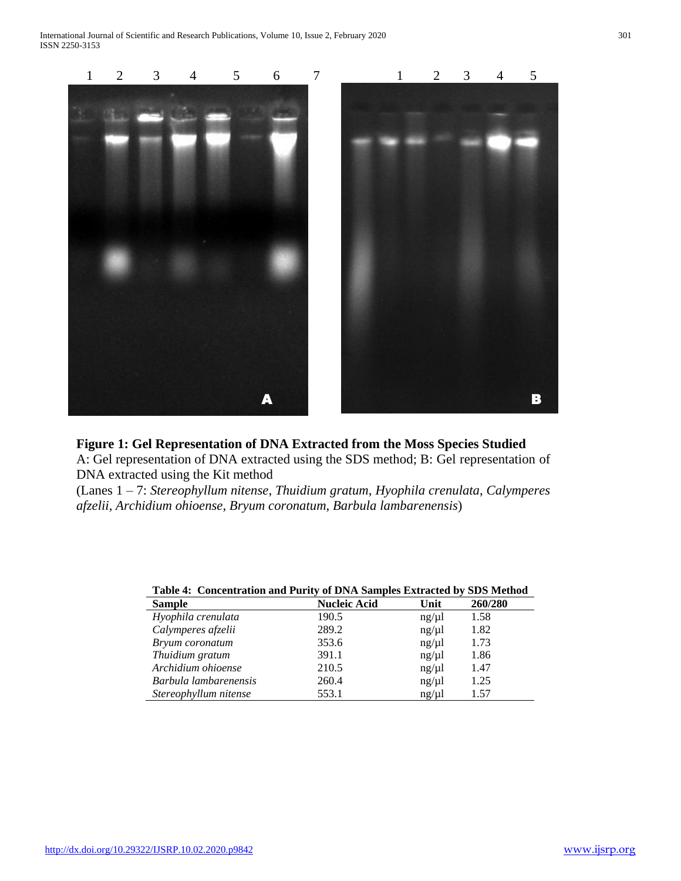

# **Figure 1: Gel Representation of DNA Extracted from the Moss Species Studied**

A: Gel representation of DNA extracted using the SDS method; B: Gel representation of DNA extracted using the Kit method

(Lanes 1 – 7: *Stereophyllum nitense*, *Thuidium gratum*, *Hyophila crenulata*, *Calymperes afzelii*, *Archidium ohioense*, *Bryum coronatum*, *Barbula lambarenensis*)

| Table 4: Concentration and I arry of Druh bampics Datracted by DDS HIGHOG |       |         |  |  |  |  |  |
|---------------------------------------------------------------------------|-------|---------|--|--|--|--|--|
| <b>Nucleic Acid</b>                                                       | Unit  | 260/280 |  |  |  |  |  |
| 190.5                                                                     | ng/µl | 1.58    |  |  |  |  |  |
| 289.2                                                                     | ng/µl | 1.82    |  |  |  |  |  |
| 353.6                                                                     | ng/µl | 1.73    |  |  |  |  |  |
| 391.1                                                                     | ng/µl | 1.86    |  |  |  |  |  |
| 210.5                                                                     | ng/µl | 1.47    |  |  |  |  |  |
| 260.4                                                                     | ng/µl | 1.25    |  |  |  |  |  |
| 553.1                                                                     | ng/µl | 1.57    |  |  |  |  |  |
|                                                                           |       |         |  |  |  |  |  |

|        | Table 4: Concentration and Purity of DNA Samples Extracted by SDS Method |              |  |                                                                                                                                                                                                                                                                                                                                    |  |
|--------|--------------------------------------------------------------------------|--------------|--|------------------------------------------------------------------------------------------------------------------------------------------------------------------------------------------------------------------------------------------------------------------------------------------------------------------------------------|--|
| $\sim$ |                                                                          | <b>TTTT:</b> |  | $\mathbf{r}$ $\mathbf{r}$ $\mathbf{r}$ $\mathbf{r}$ $\mathbf{r}$ $\mathbf{r}$ $\mathbf{r}$ $\mathbf{r}$ $\mathbf{r}$ $\mathbf{r}$ $\mathbf{r}$ $\mathbf{r}$ $\mathbf{r}$ $\mathbf{r}$ $\mathbf{r}$ $\mathbf{r}$ $\mathbf{r}$ $\mathbf{r}$ $\mathbf{r}$ $\mathbf{r}$ $\mathbf{r}$ $\mathbf{r}$ $\mathbf{r}$ $\mathbf{r}$ $\mathbf{$ |  |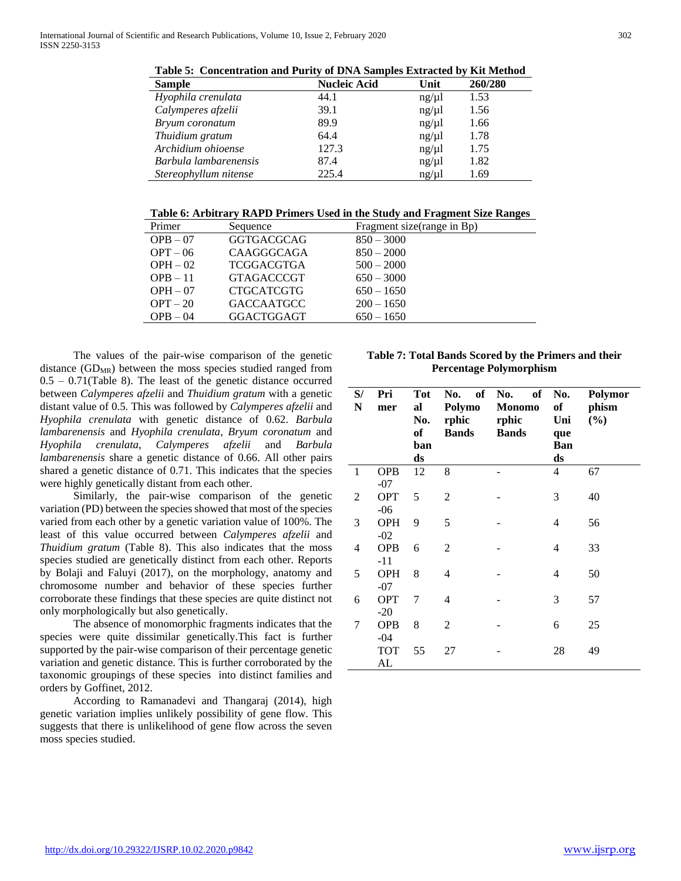**Table 5: Concentration and Purity of DNA Samples Extracted by Kit Method**

| <b>Sample</b>         | <b>Nucleic Acid</b> | Unit  | 260/280 |
|-----------------------|---------------------|-------|---------|
| Hyophila crenulata    | 44.1                | ng/µl | 1.53    |
| Calymperes afzelii    | 39.1                | ng/µl | 1.56    |
| Bryum coronatum       | 89.9                | ng/µl | 1.66    |
| Thuidium gratum       | 64.4                | ng/µl | 1.78    |
| Archidium ohioense    | 127.3               | ng/µl | 1.75    |
| Barbula lambarenensis | 87.4                | ng/µl | 1.82    |
| Stereophyllum nitense | 225.4               | ng/µl | 1.69    |

**Table 6: Arbitrary RAPD Primers Used in the Study and Fragment Size Ranges**

| Primer     | Sequence          | Fragment size (range in Bp) |
|------------|-------------------|-----------------------------|
| $OPB - 07$ | <b>GGTGACGCAG</b> | $850 - 3000$                |
| $OPT - 06$ | CAAGGGCAGA        | $850 - 2000$                |
| $OPH - 02$ | <b>TCGGACGTGA</b> | $500 - 2000$                |
| $OPB - 11$ | <b>GTAGACCCGT</b> | $650 - 3000$                |
| $OPH - 07$ | <b>CTGCATCGTG</b> | $650 - 1650$                |
| $OPT-20$   | <b>GACCAATGCC</b> | $200 - 1650$                |
| $OPB - 04$ | <b>GGACTGGAGT</b> | $650 - 1650$                |
|            |                   |                             |

 The values of the pair-wise comparison of the genetic distance  $(GD_{MR})$  between the moss species studied ranged from  $0.5 - 0.71$ (Table 8). The least of the genetic distance occurred between *Calymperes afzelii* and *Thuidium gratum* with a genetic distant value of 0.5. This was followed by *Calymperes afzelii* and *Hyophila crenulata* with genetic distance of 0.62. *Barbula lambarenensis* and *Hyophila crenulata*, *Bryum coronatum* and *Hyophila crenulata*, *Calymperes afzelii* and *Barbula lambarenensis* share a genetic distance of 0.66. All other pairs shared a genetic distance of 0.71. This indicates that the species were highly genetically distant from each other.

 Similarly, the pair-wise comparison of the genetic variation (PD) between the species showed that most of the species varied from each other by a genetic variation value of 100%. The least of this value occurred between *Calymperes afzelii* and *Thuidium gratum* (Table 8). This also indicates that the moss species studied are genetically distinct from each other. Reports by Bolaji and Faluyi (2017), on the morphology, anatomy and chromosome number and behavior of these species further corroborate these findings that these species are quite distinct not only morphologically but also genetically.

 The absence of monomorphic fragments indicates that the species were quite dissimilar genetically.This fact is further supported by the pair-wise comparison of their percentage genetic variation and genetic distance. This is further corroborated by the taxonomic groupings of these species into distinct families and orders by Goffinet, 2012.

 According to Ramanadevi and Thangaraj (2014), high genetic variation implies unlikely possibility of gene flow. This suggests that there is unlikelihood of gene flow across the seven moss species studied.

**Table 7: Total Bands Scored by the Primers and their Percentage Polymorphism**

| S/<br>N        | Pri<br>mer          | Tot<br>al<br>No.<br>of<br>ban<br>ds | of<br>No.<br>Polymo<br>rphic<br><b>Bands</b> | of<br>No.<br><b>Monomo</b><br>rphic<br><b>Bands</b> | No.<br>of<br>Uni<br>que<br><b>Ban</b><br>ds | Polymor<br>phism<br>(%) |
|----------------|---------------------|-------------------------------------|----------------------------------------------|-----------------------------------------------------|---------------------------------------------|-------------------------|
| 1              | <b>OPB</b><br>$-07$ | 12                                  | 8                                            |                                                     | 4                                           | 67                      |
| $\overline{2}$ | <b>OPT</b><br>$-06$ | 5                                   | $\overline{2}$                               |                                                     | 3                                           | 40                      |
| 3              | <b>OPH</b><br>$-02$ | 9                                   | 5                                            |                                                     | 4                                           | 56                      |
| 4              | <b>OPB</b><br>$-11$ | 6                                   | 2                                            |                                                     | 4                                           | 33                      |
| 5              | <b>OPH</b><br>$-07$ | 8                                   | 4                                            |                                                     | 4                                           | 50                      |
| 6              | <b>OPT</b><br>$-20$ | 7                                   | 4                                            |                                                     | 3                                           | 57                      |
| 7              | <b>OPB</b><br>$-04$ | 8                                   | 2                                            |                                                     | 6                                           | 25                      |
|                | TOT<br>AL           | 55                                  | 27                                           |                                                     | 28                                          | 49                      |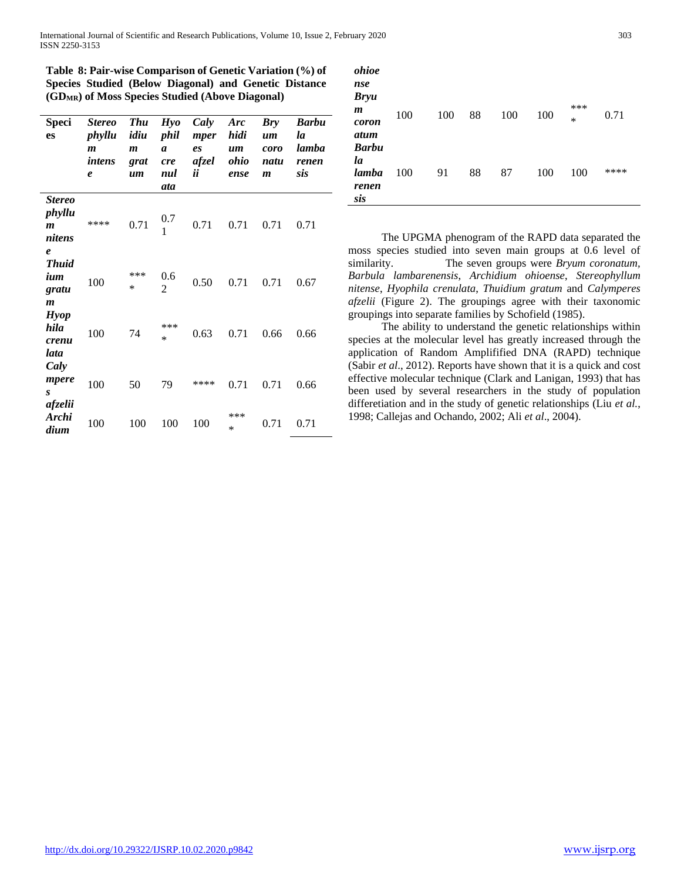International Journal of Scientific and Research Publications, Volume 10, Issue 2, February 2020 303 ISSN 2250-3153

**Table 8: Pair-wise Comparison of Genetic Variation (%) of Species Studied (Below Diagonal) and Genetic Distance (GDMR) of Moss Species Studied (Above Diagonal)**

| <b>Speci</b><br>es                                                        | <b>Stereo</b><br>phyllu<br>$\boldsymbol{m}$<br>intens<br>$\boldsymbol{\ell}$ | <b>Thu</b><br>idiu<br>$\boldsymbol{m}$<br>grat<br>um | Hyo<br>phil<br>$\boldsymbol{a}$<br><i>cre</i><br>nul<br>ata | Caly<br>mper<br>es<br>afzel<br>ij | Arc<br>hidi<br>$\mathbf{u}$ <i>m</i><br>ohio<br>ense | <b>Bry</b><br>$\mathbf{u}\mathbf{m}$<br>coro<br>natu<br>$\boldsymbol{m}$ | <b>Barbu</b><br>la<br>lamba<br>renen<br>sis |
|---------------------------------------------------------------------------|------------------------------------------------------------------------------|------------------------------------------------------|-------------------------------------------------------------|-----------------------------------|------------------------------------------------------|--------------------------------------------------------------------------|---------------------------------------------|
| <b>Stereo</b><br>phyllu<br>$\boldsymbol{m}$<br>nitens<br>$\boldsymbol{e}$ | ****                                                                         | 0.71                                                 | 0.7<br>1                                                    | 0.71                              | 0.71                                                 | 0.71                                                                     | 0.71                                        |
| <b>Thuid</b><br>ium<br>gratu<br>$\boldsymbol{m}$                          | 100                                                                          | ***<br>$\ast$                                        | 0.6<br>2                                                    | 0.50                              | 0.71                                                 | 0.71                                                                     | 0.67                                        |
| <b>Hyop</b><br>hila<br>crenu<br>lata                                      | 100                                                                          | 74                                                   | ***<br>$\ast$                                               | 0.63                              | 0.71                                                 | 0.66                                                                     | 0.66                                        |
| Caly<br>mpere<br>S<br>afzelii                                             | 100                                                                          | 50                                                   | 79                                                          | ****                              | 0.71                                                 | 0.71                                                                     | 0.66                                        |
| Archi<br>dium                                                             | 100                                                                          | 100                                                  | 100                                                         | 100                               | ***<br>$\ast$                                        | 0.71                                                                     | 0.71                                        |

| ohioe<br>nse<br><b>Bryu</b><br>$\boldsymbol{m}$<br>coron<br>atum | 100 | 100 | 88 | 100 | 100 | ***<br>$*$ | 0.71 |
|------------------------------------------------------------------|-----|-----|----|-----|-----|------------|------|
| <b>Barbu</b><br>la<br>lamba<br>renen<br>sis                      | 100 | 91  | 88 | 87  | 100 | 100        | **** |

 The UPGMA phenogram of the RAPD data separated the moss species studied into seven main groups at 0.6 level of similarity. The seven groups were *Bryum coronatum, Barbula lambarenensis*, *Archidium ohioense*, *Stereophyllum nitense*, *Hyophila crenulata*, *Thuidium gratum* and *Calymperes afzelii* (Figure 2). The groupings agree with their taxonomic groupings into separate families by Schofield (1985).

 The ability to understand the genetic relationships within species at the molecular level has greatly increased through the application of Random Amplifified DNA (RAPD) technique (Sabir *et al*., 2012). Reports have shown that it is a quick and cost effective molecular technique (Clark and Lanigan, 1993) that has been used by several researchers in the study of population differetiation and in the study of genetic relationships (Liu *et al.*, 1998; Callejas and Ochando, 2002; Ali *et al*., 2004).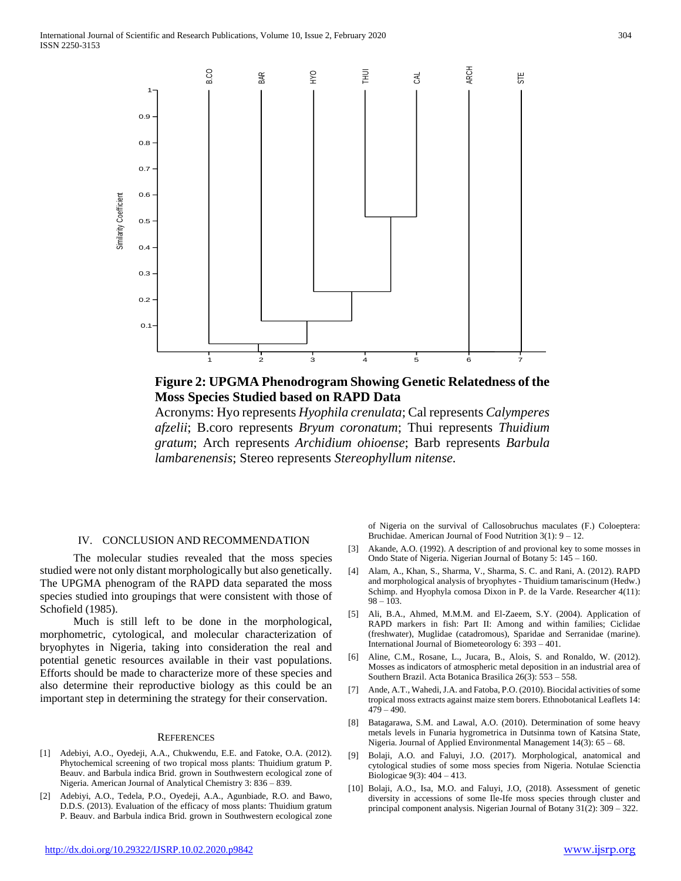



Acronyms: Hyo represents *Hyophila crenulata*; Cal represents *Calymperes afzelii*; B.coro represents *Bryum coronatum*; Thui represents *Thuidium gratum*; Arch represents *Archidium ohioense*; Barb represents *Barbula lambarenensis*; Stereo represents *Stereophyllum nitense.*

## IV. CONCLUSION AND RECOMMENDATION

 The molecular studies revealed that the moss species studied were not only distant morphologically but also genetically. The UPGMA phenogram of the RAPD data separated the moss species studied into groupings that were consistent with those of Schofield (1985).

 Much is still left to be done in the morphological, morphometric, cytological, and molecular characterization of bryophytes in Nigeria, taking into consideration the real and potential genetic resources available in their vast populations. Efforts should be made to characterize more of these species and also determine their reproductive biology as this could be an important step in determining the strategy for their conservation.

#### **REFERENCES**

- [1] Adebiyi, A.O., Oyedeji, A.A., Chukwendu, E.E. and Fatoke, O.A. (2012). Phytochemical screening of two tropical moss plants: Thuidium gratum P. Beauv. and Barbula indica Brid. grown in Southwestern ecological zone of Nigeria. American Journal of Analytical Chemistry 3: 836 – 839.
- [2] Adebiyi, A.O., Tedela, P.O., Oyedeji, A.A., Agunbiade, R.O. and Bawo, D.D.S. (2013). Evaluation of the efficacy of moss plants: Thuidium gratum P. Beauv. and Barbula indica Brid. grown in Southwestern ecological zone

of Nigeria on the survival of Callosobruchus maculates (F.) Coloeptera: Bruchidae. American Journal of Food Nutrition 3(1): 9 – 12.

- Akande, A.O. (1992). A description of and provional key to some mosses in Ondo State of Nigeria. Nigerian Journal of Botany 5: 145 – 160.
- [4] Alam, A., Khan, S., Sharma, V., Sharma, S. C. and Rani, A. (2012). RAPD and morphological analysis of bryophytes - Thuidium tamariscinum (Hedw.) Schimp. and Hyophyla comosa Dixon in P. de la Varde. Researcher 4(11):  $98 - 103$ .
- [5] Ali, B.A., Ahmed, M.M.M. and El-Zaeem, S.Y. (2004). Application of RAPD markers in fish: Part II: Among and within families; Ciclidae (freshwater), Muglidae (catadromous), Sparidae and Serranidae (marine). International Journal of Biometeorology 6: 393 – 401.
- [6] Aline, C.M., Rosane, L., Jucara, B., Alois, S. and Ronaldo, W. (2012). Mosses as indicators of atmospheric metal deposition in an industrial area of Southern Brazil. Acta Botanica Brasilica 26(3): 553 – 558.
- Ande, A.T., Wahedi, J.A. and Fatoba, P.O. (2010). Biocidal activities of some tropical moss extracts against maize stem borers. Ethnobotanical Leaflets 14:  $479 - 490.$
- [8] Batagarawa, S.M. and Lawal, A.O. (2010). Determination of some heavy metals levels in Funaria hygrometrica in Dutsinma town of Katsina State, Nigeria. Journal of Applied Environmental Management 14(3): 65 – 68.
- [9] Bolaji, A.O. and Faluyi, J.O. (2017). Morphological, anatomical and cytological studies of some moss species from Nigeria. Notulae Scienctia Biologicae 9(3): 404 – 413.
- [10] Bolaji, A.O., Isa, M.O. and Faluyi, J.O, (2018). Assessment of genetic diversity in accessions of some Ile-Ife moss species through cluster and principal component analysis. Nigerian Journal of Botany 31(2): 309 – 322.